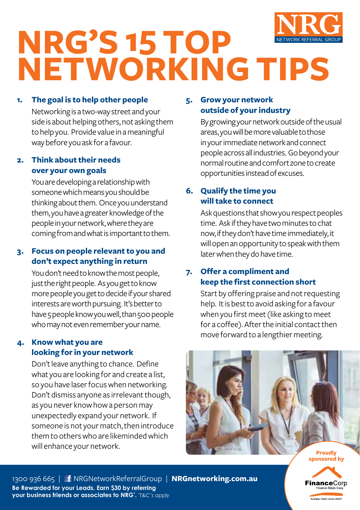

# **NRG'S 15 TOP NETWORKING TIPS**

## **1. The goal is to help other people**

Networking is a two-way street and your side is about helping others, not asking them to help you. Provide value in a meaningful way before you ask for a favour.

## **2. Think about their needs over your own goals**

You are developing a relationship with someone which means you should be thinking about them. Once you understand them, you have a greater knowledge of the people in your network, where they are coming from and what is important to them.

## **3. Focus on people relevant to you and don't expect anything in return**

You don't need to know the most people, just the right people. As you get to know more people you get to decide if your shared interests are worth pursuing. It's better to have 5 people know you well, than 500 people who may not even remember your name.

## **4. Know what you are looking for in your network**

Don't leave anything to chance. Define what you are looking for and create a list, so you have laser focus when networking. Don't dismiss anyone as irrelevant though, as you never know how a person may unexpectedly expand your network. If someone is not your match, then introduce them to others who are likeminded which will enhance your network.

## **5. Grow your network outside of your industry**

By growing your network outside of the usual areas, you will be more valuable to those in your immediate network and connect people across all industries. Go beyond your normal routine and comfort zone to create opportunities instead of excuses.

## **6. Qualify the time you will take to connect**

Ask questions that show you respect peoples time. Ask if they have two minutes to chat now, if they don't have time immediately, it will open an opportunity to speak with them later when they do have time.

## **7. Offer a compliment and keep the first connection short**

Start by offering praise and not requesting help. It is best to avoid asking for a favour when you first meet (like asking to meet for a coffee). After the initial contact then move forward to a lengthier meeting.



**Proudly sponsored by**

**FinanceCorp Australian Credit Licence 39503**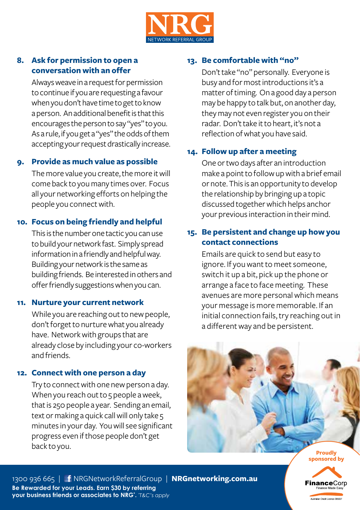

## **8. Ask for permission to open a conversation with an offer**

Always weave in a request for permission to continue if you are requesting a favour when you don't have time to get to know a person. An additional benefit is that this encourages the person to say "yes" to you. As a rule, if you get a "yes" the odds of them accepting your request drastically increase.

#### **9. Provide as much value as possible**

The more value you create, the more it will come back to you many times over. Focus all your networking efforts on helping the people you connect with.

#### **10. Focus on being friendly and helpful**

This is the number one tactic you can use to build your network fast. Simply spread information in a friendly and helpful way. Building your network is the same as building friends. Be interested in others and offer friendly suggestions when you can.

#### **11. Nurture your current network**

While you are reaching out to new people, don't forget to nurture what you already have. Network with groups that are already close by including your co-workers and friends.

#### **12. Connect with one person a day**

Try to connect with one new person a day. When you reach out to 5 people a week, that is 250 people a year. Sending an email, text or making a quick call will only take 5 minutes in your day. You will see significant progress even if those people don't get back to you.

## **13. Be comfortable with "no"**

Don't take "no" personally. Everyone is busy and for most introductions it's a matter of timing. On a good day a person may be happy to talk but, on another day, they may not even register you on their radar. Don't take it to heart, it's not a reflection of what you have said.

## **14. Follow up after a meeting**

One or two days after an introduction make a point to follow up with a brief email or note. This is an opportunity to develop the relationship by bringing up a topic discussed together which helps anchor your previous interaction in their mind.

## **15. Be persistent and change up how you contact connections**

Emails are quick to send but easy to ignore. If you want to meet someone, switch it up a bit, pick up the phone or arrange a face to face meeting. These avenues are more personal which means your message is more memorable. If an initial connection fails, try reaching out in a different way and be persistent.



**sponsored by**

**inance**Corp stralian Credit Licence 39503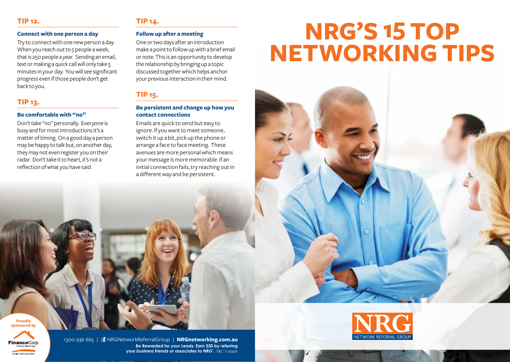## **TIP 12.**

#### **Connect with one person a day**

Try to connect with one new person a day. When you reach out to 5 people a week, that is 250 people a year. Sending an email, text or making a quick call will only take 5 minutes in your day. You will see significant progress even if those people don't get back to you.

## **TIP 13.**

## **Be comfortable with "no"**

Don't take "no" personally. Everyone is busy and for most introductions it's a matter of timing. On a good day a person may be happy to talk but, on another day, they may not even register you on their radar. Don't take it to heart, it's not a reflection of what you have said.

## **TIP 14.**

#### **Follow up after a meeting**

One or two days after an introduction make a point to follow up with a brief email or note. This is an opportunity to develop the relationship by bringing up a topic discussed together which helps anchor your previous interaction in their mind.

## **TIP 15.**

## **Be persistent and change up how you contact connections**

Emails are quick to send but easy to ignore. If you want to meet someone, switch it up a bit, pick up the phone or arrange a face to face meeting. These avenues are more personal which means your message is more memorable. If an initial connection fails, try reaching out in a different way and be persistent.

# **NRG'S 15 TOP NETWORKING TIPS**



 $\bullet$ 

**Proudly sponsored by**